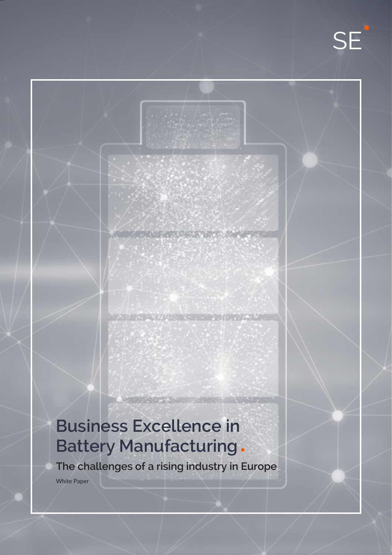# **Business Excellence in Battery Manufacturing**

**The challenges of a rising industry in Europe**

**EXPERIMENT AND RESERVE** 

White Paper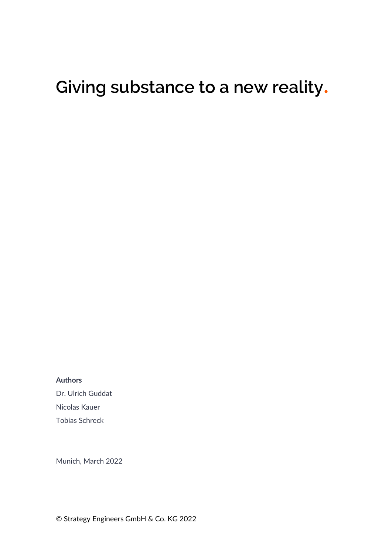# **Giving substance to a new reality**.

**Authors**

Dr. Ulrich Guddat Nicolas Kauer Tobias Schreck

Munich, March 2022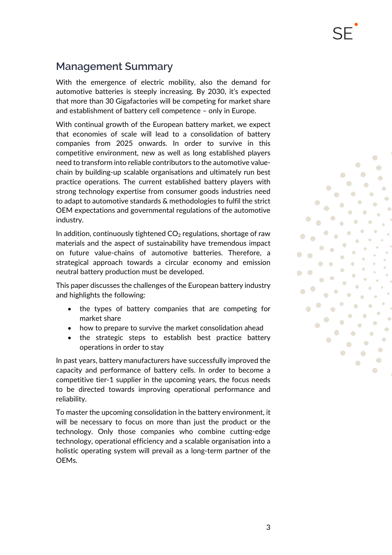With the emergence of electric mobility, also the demand for automotive batteries is steeply increasing. By 2030, it's expected that more than 30 Gigafactories will be competing for market share and establishment of battery cell competence – only in Europe.

With continual growth of the European battery market, we expect that economies of scale will lead to a consolidation of battery companies from 2025 onwards. In order to survive in this competitive environment, new as well as long established players need to transform into reliable contributors to the automotive valuechain by building-up scalable organisations and ultimately run best practice operations. The current established battery players with strong technology expertise from consumer goods industries need to adapt to automotive standards & methodologies to fulfil the strict OEM expectations and governmental regulations of the automotive industry.

In addition, continuously tightened  $CO<sub>2</sub>$  regulations, shortage of raw materials and the aspect of sustainability have tremendous impact on future value-chains of automotive batteries. Therefore, a strategical approach towards a circular economy and emission neutral battery production must be developed.

This paper discusses the challenges of the European battery industry and highlights the following:

- the types of battery companies that are competing for market share
- how to prepare to survive the market consolidation ahead
- the strategic steps to establish best practice battery operations in order to stay

In past years, battery manufacturers have successfully improved the capacity and performance of battery cells. In order to become a competitive tier-1 supplier in the upcoming years, the focus needs to be directed towards improving operational performance and reliability.

To master the upcoming consolidation in the battery environment, it will be necessary to focus on more than just the product or the technology. Only those companies who combine cutting-edge technology, operational efficiency and a scalable organisation into a holistic operating system will prevail as a long-term partner of the OEMs.

O

O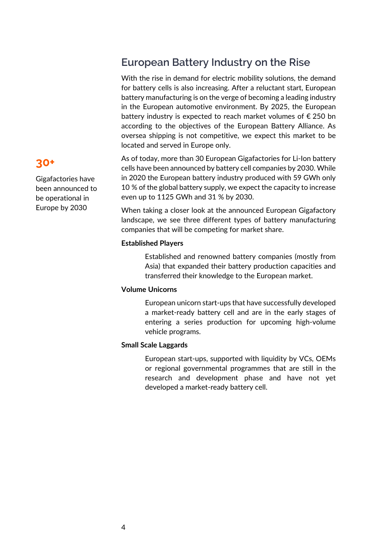### **European Battery Industry on the Rise**

With the rise in demand for electric mobility solutions, the demand for battery cells is also increasing. After a reluctant start, European battery manufacturing is on the verge of becoming a leading industry in the European automotive environment. By 2025, the European battery industry is expected to reach market volumes of € 250 bn according to the objectives of the European Battery Alliance. As oversea shipping is not competitive, we expect this market to be located and served in Europe only.

As of today, more than 30 European Gigafactories for Li-Ion battery cells have been announced by battery cell companies by 2030. While in 2020 the European battery industry produced with 59 GWh only 10 % of the global battery supply, we expect the capacity to increase even up to 1125 GWh and 31 % by 2030.

When taking a closer look at the announced European Gigafactory landscape, we see three different types of battery manufacturing companies that will be competing for market share.

#### **Established Players**

Established and renowned battery companies (mostly from Asia) that expanded their battery production capacities and transferred their knowledge to the European market.

#### **Volume Unicorns**

European unicorn start-ups that have successfully developed a market-ready battery cell and are in the early stages of entering a series production for upcoming high-volume vehicle programs.

#### **Small Scale Laggards**

European start-ups, supported with liquidity by VCs, OEMs or regional governmental programmes that are still in the research and development phase and have not yet developed a market-ready battery cell.

### **30+**

Gigafactories have been announced to be operational in Europe by 2030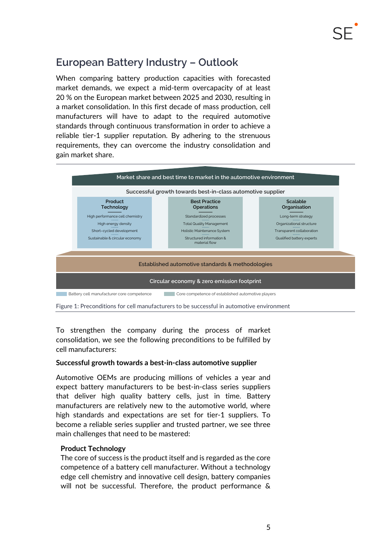### **European Battery Industry – Outlook**

When comparing battery production capacities with forecasted market demands, we expect a mid-term overcapacity of at least 20 % on the European market between 2025 and 2030, resulting in a market consolidation. In this first decade of mass production, cell manufacturers will have to adapt to the required automotive standards through continuous transformation in order to achieve a reliable tier-1 supplier reputation. By adhering to the strenuous requirements, they can overcome the industry consolidation and gain market share.



Figure 1: Preconditions for cell manufacturers to be successful in automotive environment

To strengthen the company during the process of market consolidation, we see the following preconditions to be fulfilled by cell manufacturers:

#### **Successful growth towards a best-in-class automotive supplier**

Automotive OEMs are producing millions of vehicles a year and expect battery manufacturers to be best-in-class series suppliers that deliver high quality battery cells, just in time. Battery manufacturers are relatively new to the automotive world, where high standards and expectations are set for tier-1 suppliers. To become a reliable series supplier and trusted partner, we see three main challenges that need to be mastered:

#### **Product Technology**

The core of success is the product itself and is regarded as the core competence of a battery cell manufacturer. Without a technology edge cell chemistry and innovative cell design, battery companies will not be successful. Therefore, the product performance &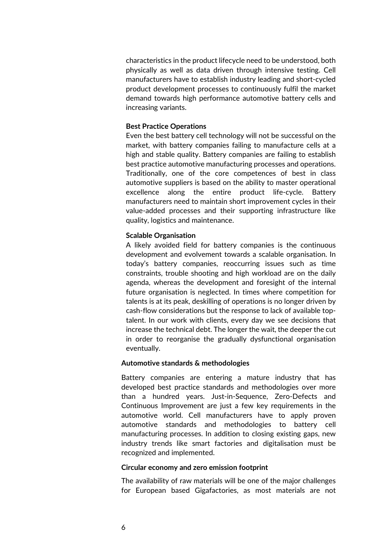characteristics in the product lifecycle need to be understood, both physically as well as data driven through intensive testing. Cell manufacturers have to establish industry leading and short-cycled product development processes to continuously fulfil the market demand towards high performance automotive battery cells and increasing variants.

#### **Best Practice Operations**

Even the best battery cell technology will not be successful on the market, with battery companies failing to manufacture cells at a high and stable quality. Battery companies are failing to establish best practice automotive manufacturing processes and operations. Traditionally, one of the core competences of best in class automotive suppliers is based on the ability to master operational excellence along the entire product life-cycle. Battery manufacturers need to maintain short improvement cycles in their value-added processes and their supporting infrastructure like quality, logistics and maintenance.

#### **Scalable Organisation**

A likely avoided field for battery companies is the continuous development and evolvement towards a scalable organisation. In today's battery companies, reoccurring issues such as time constraints, trouble shooting and high workload are on the daily agenda, whereas the development and foresight of the internal future organisation is neglected. In times where competition for talents is at its peak, deskilling of operations is no longer driven by cash-flow considerations but the response to lack of available toptalent. In our work with clients, every day we see decisions that increase the technical debt. The longer the wait, the deeper the cut in order to reorganise the gradually dysfunctional organisation eventually.

#### **Automotive standards & methodologies**

Battery companies are entering a mature industry that has developed best practice standards and methodologies over more than a hundred years. Just-in-Sequence, Zero-Defects and Continuous Improvement are just a few key requirements in the automotive world. Cell manufacturers have to apply proven automotive standards and methodologies to battery cell manufacturing processes. In addition to closing existing gaps, new industry trends like smart factories and digitalisation must be recognized and implemented.

#### **Circular economy and zero emission footprint**

The availability of raw materials will be one of the major challenges for European based Gigafactories, as most materials are not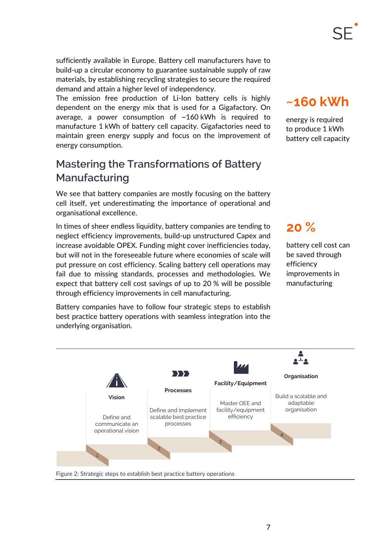sufficiently available in Europe. Battery cell manufacturers have to build-up a circular economy to guarantee sustainable supply of raw materials, by establishing recycling strategies to secure the required demand and attain a higher level of independency.

The emission free production of Li-Ion battery cells is highly dependent on the energy mix that is used for a Gigafactory. On average, a power consumption of  $~160$  kWh is required to manufacture 1 kWh of battery cell capacity. Gigafactories need to maintain green energy supply and focus on the improvement of energy consumption.

### **Mastering the Transformations of Battery Manufacturing**

We see that battery companies are mostly focusing on the battery cell itself, yet underestimating the importance of operational and organisational excellence.

In times of sheer endless liquidity, battery companies are tending to neglect efficiency improvements, build-up unstructured Capex and increase avoidable OPEX. Funding might cover inefficiencies today, but will not in the foreseeable future where economies of scale will put pressure on cost efficiency. Scaling battery cell operations may fail due to missing standards, processes and methodologies. We expect that battery cell cost savings of up to 20 % will be possible through efficiency improvements in cell manufacturing.

Battery companies have to follow four strategic steps to establish best practice battery operations with seamless integration into the underlying organisation.

## **~160 kWh**

energy is required to produce 1 kWh battery cell capacity

### **20 %**

battery cell cost can be saved through efficiency improvements in manufacturing



Figure 2: Strategic steps to establish best practice battery operations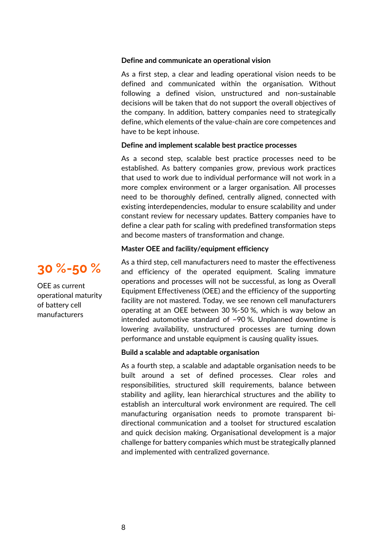#### **Define and communicate an operational vision**

As a first step, a clear and leading operational vision needs to be defined and communicated within the organisation. Without following a defined vision, unstructured and non-sustainable decisions will be taken that do not support the overall objectives of the company. In addition, battery companies need to strategically define, which elements of the value-chain are core competences and have to be kept inhouse.

#### **Define and implement scalable best practice processes**

As a second step, scalable best practice processes need to be established. As battery companies grow, previous work practices that used to work due to individual performance will not work in a more complex environment or a larger organisation. All processes need to be thoroughly defined, centrally aligned, connected with existing interdependencies, modular to ensure scalability and under constant review for necessary updates. Battery companies have to define a clear path for scaling with predefined transformation steps and become masters of transformation and change.

#### **Master OEE and facility/equipment efficiency**

As a third step, cell manufacturers need to master the effectiveness and efficiency of the operated equipment. Scaling immature operations and processes will not be successful, as long as Overall Equipment Effectiveness (OEE) and the efficiency of the supporting facility are not mastered. Today, we see renown cell manufacturers operating at an OEE between 30 %-50 %, which is way below an intended automotive standard of ~90 %. Unplanned downtime is lowering availability, unstructured processes are turning down performance and unstable equipment is causing quality issues.

#### **Build a scalable and adaptable organisation**

As a fourth step, a scalable and adaptable organisation needs to be built around a set of defined processes. Clear roles and responsibilities, structured skill requirements, balance between stability and agility, lean hierarchical structures and the ability to establish an intercultural work environment are required. The cell manufacturing organisation needs to promote transparent bidirectional communication and a toolset for structured escalation and quick decision making. Organisational development is a major challenge for battery companies which must be strategically planned and implemented with centralized governance.



OEE as current operational maturity of battery cell manufacturers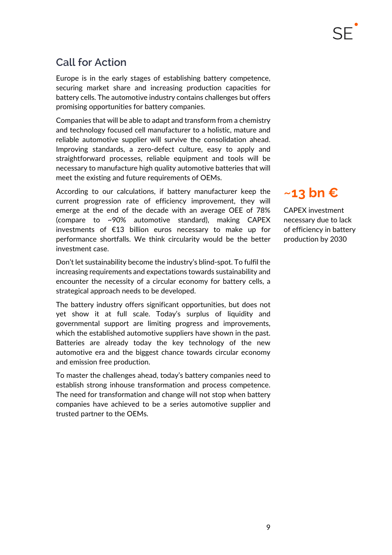### **Call for Action**

Europe is in the early stages of establishing battery competence, securing market share and increasing production capacities for battery cells. The automotive industry contains challenges but offers promising opportunities for battery companies.

Companies that will be able to adapt and transform from a chemistry and technology focused cell manufacturer to a holistic, mature and reliable automotive supplier will survive the consolidation ahead. Improving standards, a zero-defect culture, easy to apply and straightforward processes, reliable equipment and tools will be necessary to manufacture high quality automotive batteries that will meet the existing and future requirements of OEMs.

According to our calculations, if battery manufacturer keep the current progression rate of efficiency improvement, they will emerge at the end of the decade with an average OEE of 78% (compare to ~90% automotive standard), making CAPEX investments of €13 billion euros necessary to make up for performance shortfalls. We think circularity would be the better investment case.

Don't let sustainability become the industry's blind-spot. To fulfil the increasing requirements and expectations towards sustainability and encounter the necessity of a circular economy for battery cells, a strategical approach needs to be developed.

The battery industry offers significant opportunities, but does not yet show it at full scale. Today's surplus of liquidity and governmental support are limiting progress and improvements, which the established automotive suppliers have shown in the past. Batteries are already today the key technology of the new automotive era and the biggest chance towards circular economy and emission free production.

To master the challenges ahead, today's battery companies need to establish strong inhouse transformation and process competence. The need for transformation and change will not stop when battery companies have achieved to be a series automotive supplier and trusted partner to the OEMs.

## **~13 bn €**

CAPEX investment necessary due to lack of efficiency in battery production by 2030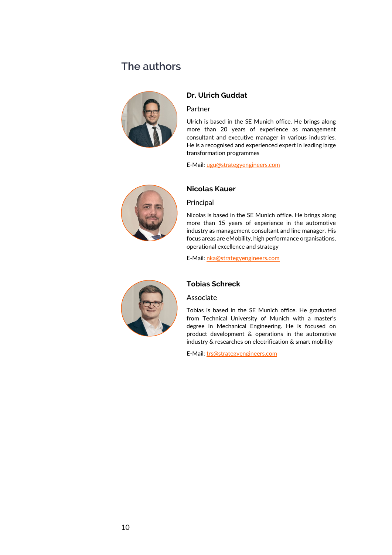### **The authors**



### **Dr. Ulrich Guddat**

#### Partner

Ulrich is based in the SE Munich office. He brings along more than 20 years of experience as management consultant and executive manager in various industries. He is a recognised and experienced expert in leading large transformation programmes

E-Mail: [ugu@strategyengineers.com](mailto:ugu@strategyengineers.com)



#### **Nicolas Kauer**

#### Principal

Nicolas is based in the SE Munich office. He brings along more than 15 years of experience in the automotive industry as management consultant and line manager. His focus areas are eMobility, high performance organisations, operational excellence and strategy

E-Mail: [nka@strategyengineers.com](mailto:nka@strategyengineers.com)



#### **Tobias Schreck**

#### Associate

Tobias is based in the SE Munich office. He graduated from Technical University of Munich with a master's degree in Mechanical Engineering. He is focused on product development & operations in the automotive industry & researches on electrification & smart mobility

E-Mail: [trs@strategyengineers.com](mailto:trs@strategyengineers.com)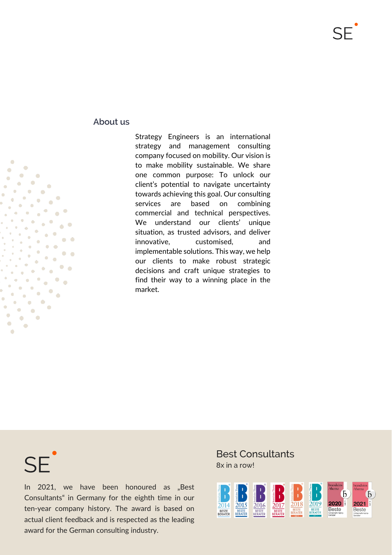### **About us**

Strategy Engineers is an international strategy and management consulting company focused on mobility. Our vision is to make mobility sustainable. We share one common purpose: To unlock our client's potential to navigate uncertainty towards achieving this goal. Our consulting services are based on combining commercial and technical perspectives. We understand our clients' unique situation, as trusted advisors, and deliver innovative, customised, and implementable solutions. This way, we help our clients to make robust strategic decisions and craft unique strategies to find their way to a winning place in the market.

 $SF$ 

In 2021, we have been honoured as "Best Consultants" in Germany for the eighth time in our ten-year company history. The award is based on actual client feedback and is respected as the leading award for the German consulting industry.

Best Consultants 8x in a row!